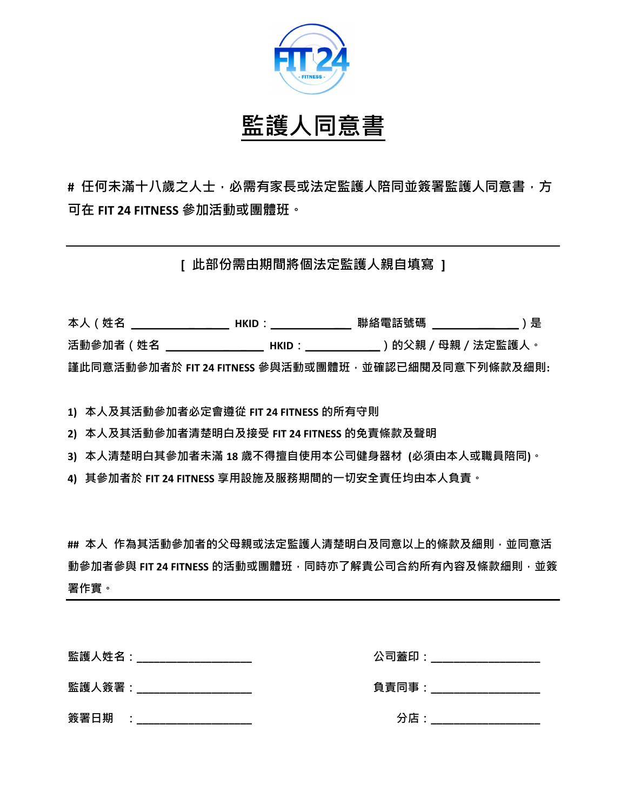

## 監護人同意書

# 任何未滿十八歲之人士,必需有家長或法定監護人陪同並簽署監護人同意書,方 可在 FIT 24 FITNESS 參加活動或團體班。

[ 此部份需由期間將個法定監護人親自填寫 ]

| 本人(姓名    | HKID :                                                 | 聯絡電話號碼 | )是             |
|----------|--------------------------------------------------------|--------|----------------|
| 活動參加者(姓名 | HKID :                                                 |        | )的父親/母親/法定監護人。 |
|          | 謹此同意活動參加者於 FIT 24 FITNESS 參與活動或團體班 · 並確認已細閱及同意下列條款及細則: |        |                |

1) 本人及其活動參加者必定會遵從 FIT 24 FITNESS 的所有守則

2) 本人及其活動參加者清楚明白及接受 FIT 24 FITNESS 的免責條款及聲明

3) 本人清楚明白其參加者未滿 18 歲不得擅自使用本公司健身器材 (必須由本人或職員陪同)。

4) 其參加者於 FIT 24 FITNESS 享用設施及服務期間的一切安全責任均由本人負責。

## 本人 作為其活動參加者的父母親或法定監護人清楚明白及同意以上的條款及細則,並同意活 動參加者參與 FIT 24 FITNESS 的活動或團體班, 同時亦了解貴公司合約所有內容及條款細則, 並簽 署作實。

|        | 監護人姓名:___________________ | 公司蓋印: |
|--------|---------------------------|-------|
| 監護人簽署: |                           | 負責同事: |
| 簽署日期   | $\bullet$                 | 分店:   |